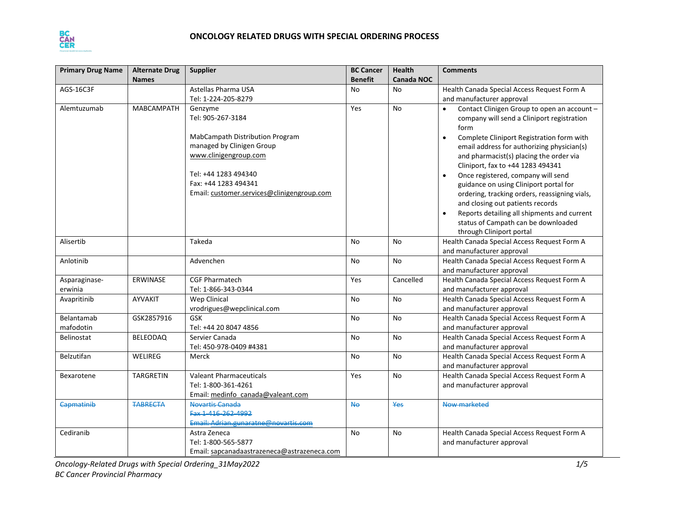

| <b>Primary Drug Name</b> | <b>Alternate Drug</b> | <b>Supplier</b>                                                                                                                                                                                                     | <b>BC Cancer</b> | <b>Health</b> | <b>Comments</b>                                                                                                                                                                                                                                                                                                                                                                                                                                                                                                                                                                               |
|--------------------------|-----------------------|---------------------------------------------------------------------------------------------------------------------------------------------------------------------------------------------------------------------|------------------|---------------|-----------------------------------------------------------------------------------------------------------------------------------------------------------------------------------------------------------------------------------------------------------------------------------------------------------------------------------------------------------------------------------------------------------------------------------------------------------------------------------------------------------------------------------------------------------------------------------------------|
|                          | <b>Names</b>          |                                                                                                                                                                                                                     | <b>Benefit</b>   | Canada NOC    |                                                                                                                                                                                                                                                                                                                                                                                                                                                                                                                                                                                               |
| AGS-16C3F                |                       | Astellas Pharma USA<br>Tel: 1-224-205-8279                                                                                                                                                                          | <b>No</b>        | No            | Health Canada Special Access Request Form A<br>and manufacturer approval                                                                                                                                                                                                                                                                                                                                                                                                                                                                                                                      |
| Alemtuzumab              | <b>MABCAMPATH</b>     | Genzyme<br>Tel: 905-267-3184<br>MabCampath Distribution Program<br>managed by Clinigen Group<br>www.clinigengroup.com<br>Tel: +44 1283 494340<br>Fax: +44 1283 494341<br>Email: customer.services@clinigengroup.com | Yes              | <b>No</b>     | Contact Clinigen Group to open an account -<br>$\bullet$<br>company will send a Cliniport registration<br>form<br>Complete Cliniport Registration form with<br>email address for authorizing physician(s)<br>and pharmacist(s) placing the order via<br>Cliniport, fax to +44 1283 494341<br>Once registered, company will send<br>guidance on using Cliniport portal for<br>ordering, tracking orders, reassigning vials,<br>and closing out patients records<br>Reports detailing all shipments and current<br>$\bullet$<br>status of Campath can be downloaded<br>through Cliniport portal |
| Alisertib                |                       | Takeda                                                                                                                                                                                                              | No               | No            | Health Canada Special Access Request Form A<br>and manufacturer approval                                                                                                                                                                                                                                                                                                                                                                                                                                                                                                                      |
| Anlotinib                |                       | Advenchen                                                                                                                                                                                                           | No               | <b>No</b>     | Health Canada Special Access Request Form A<br>and manufacturer approval                                                                                                                                                                                                                                                                                                                                                                                                                                                                                                                      |
| Asparaginase-<br>erwinia | <b>ERWINASE</b>       | <b>CGF Pharmatech</b><br>Tel: 1-866-343-0344                                                                                                                                                                        | Yes              | Cancelled     | Health Canada Special Access Request Form A<br>and manufacturer approval                                                                                                                                                                                                                                                                                                                                                                                                                                                                                                                      |
| Avapritinib              | AYVAKIT               | <b>Wep Clinical</b><br>vrodrigues@wepclinical.com                                                                                                                                                                   | No               | <b>No</b>     | Health Canada Special Access Request Form A<br>and manufacturer approval                                                                                                                                                                                                                                                                                                                                                                                                                                                                                                                      |
| Belantamab<br>mafodotin  | GSK2857916            | <b>GSK</b><br>Tel: +44 20 8047 4856                                                                                                                                                                                 | No               | No            | Health Canada Special Access Request Form A<br>and manufacturer approval                                                                                                                                                                                                                                                                                                                                                                                                                                                                                                                      |
| <b>Belinostat</b>        | <b>BELEODAQ</b>       | Servier Canada<br>Tel: 450-978-0409 #4381                                                                                                                                                                           | No               | No            | Health Canada Special Access Request Form A<br>and manufacturer approval                                                                                                                                                                                                                                                                                                                                                                                                                                                                                                                      |
| Belzutifan               | WELIREG               | Merck                                                                                                                                                                                                               | No               | <b>No</b>     | Health Canada Special Access Request Form A<br>and manufacturer approval                                                                                                                                                                                                                                                                                                                                                                                                                                                                                                                      |
| Bexarotene               | <b>TARGRETIN</b>      | <b>Valeant Pharmaceuticals</b><br>Tel: 1-800-361-4261<br>Email: medinfo canada@valeant.com                                                                                                                          | Yes              | No            | Health Canada Special Access Request Form A<br>and manufacturer approval                                                                                                                                                                                                                                                                                                                                                                                                                                                                                                                      |
| Capmatinib               | <b>TABRECTA</b>       | Novartis Canada<br>Fax 1-416-262-4992<br>Email: Adrian.gunaratne@novartis.com                                                                                                                                       | <b>No</b>        | Yes           | Now marketed                                                                                                                                                                                                                                                                                                                                                                                                                                                                                                                                                                                  |
| Cediranib                |                       | Astra Zeneca<br>Tel: 1-800-565-5877<br>Email: sapcanadaastrazeneca@astrazeneca.com                                                                                                                                  | No               | No            | Health Canada Special Access Request Form A<br>and manufacturer approval                                                                                                                                                                                                                                                                                                                                                                                                                                                                                                                      |

*Oncology-Related Drugs with Special Ordering\_31May2022 1/5 BC Cancer Provincial Pharmacy*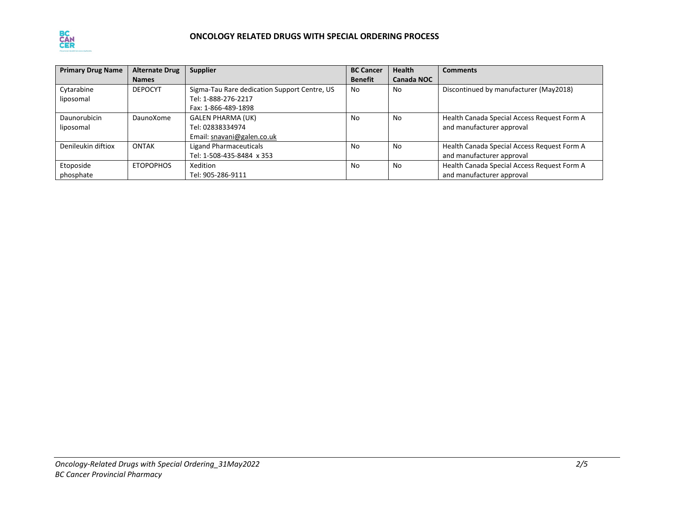

| <b>Primary Drug Name</b> | <b>Alternate Drug</b> | <b>Supplier</b>                              | <b>BC Cancer</b> | <b>Health</b> | <b>Comments</b>                             |
|--------------------------|-----------------------|----------------------------------------------|------------------|---------------|---------------------------------------------|
|                          | <b>Names</b>          |                                              | <b>Benefit</b>   | Canada NOC    |                                             |
| Cytarabine               | <b>DEPOCYT</b>        | Sigma-Tau Rare dedication Support Centre, US | No               | No            | Discontinued by manufacturer (May2018)      |
| liposomal                |                       | Tel: 1-888-276-2217                          |                  |               |                                             |
|                          |                       | Fax: 1-866-489-1898                          |                  |               |                                             |
| Daunorubicin             | DaunoXome             | <b>GALEN PHARMA (UK)</b>                     | No               | No            | Health Canada Special Access Request Form A |
| liposomal                |                       | Tel: 02838334974                             |                  |               | and manufacturer approval                   |
|                          |                       | Email: snavani@galen.co.uk                   |                  |               |                                             |
| Denileukin diftiox       | <b>ONTAK</b>          | Ligand Pharmaceuticals                       | No               | No            | Health Canada Special Access Request Form A |
|                          |                       | Tel: 1-508-435-8484 x 353                    |                  |               | and manufacturer approval                   |
| Etoposide                | <b>ETOPOPHOS</b>      | Xedition                                     | No               | No            | Health Canada Special Access Request Form A |
| phosphate                |                       | Tel: 905-286-9111                            |                  |               | and manufacturer approval                   |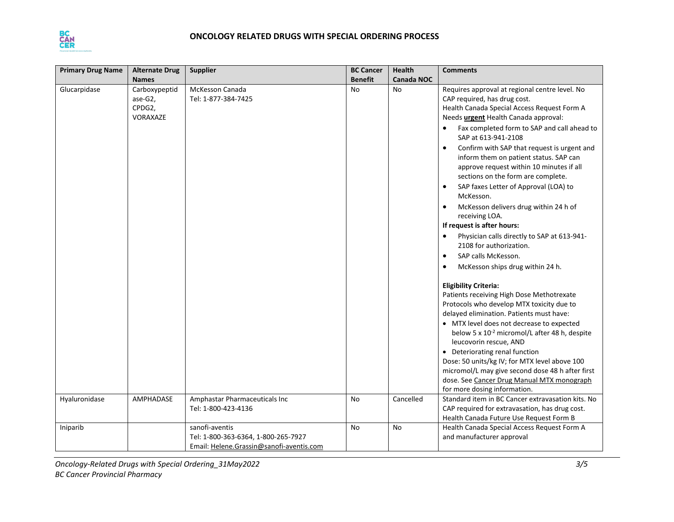

| <b>Primary Drug Name</b> | <b>Alternate Drug</b>                          | <b>Supplier</b>                                                                                   | <b>BC Cancer</b> | Health            | <b>Comments</b>                                                                                                                                                                                                                                                                                                                                                                                                                                                                                                                                                                                                                                                                                                                                   |
|--------------------------|------------------------------------------------|---------------------------------------------------------------------------------------------------|------------------|-------------------|---------------------------------------------------------------------------------------------------------------------------------------------------------------------------------------------------------------------------------------------------------------------------------------------------------------------------------------------------------------------------------------------------------------------------------------------------------------------------------------------------------------------------------------------------------------------------------------------------------------------------------------------------------------------------------------------------------------------------------------------------|
|                          | <b>Names</b>                                   |                                                                                                   | <b>Benefit</b>   | <b>Canada NOC</b> |                                                                                                                                                                                                                                                                                                                                                                                                                                                                                                                                                                                                                                                                                                                                                   |
| Glucarpidase             | Carboxypeptid<br>ase-G2,<br>CPDG2,<br>VORAXAZE | McKesson Canada<br>Tel: 1-877-384-7425                                                            | <b>No</b>        | <b>No</b>         | Requires approval at regional centre level. No<br>CAP required, has drug cost.<br>Health Canada Special Access Request Form A<br>Needs urgent Health Canada approval:<br>Fax completed form to SAP and call ahead to<br>SAP at 613-941-2108<br>Confirm with SAP that request is urgent and<br>inform them on patient status. SAP can<br>approve request within 10 minutes if all<br>sections on the form are complete.<br>SAP faxes Letter of Approval (LOA) to<br>$\bullet$<br>McKesson.<br>McKesson delivers drug within 24 h of<br>$\bullet$<br>receiving LOA.<br>If request is after hours:<br>Physician calls directly to SAP at 613-941-<br>2108 for authorization.<br>SAP calls McKesson.<br>$\bullet$<br>McKesson ships drug within 24 h. |
|                          |                                                |                                                                                                   |                  |                   | <b>Eligibility Criteria:</b><br>Patients receiving High Dose Methotrexate<br>Protocols who develop MTX toxicity due to<br>delayed elimination. Patients must have:                                                                                                                                                                                                                                                                                                                                                                                                                                                                                                                                                                                |
|                          |                                                |                                                                                                   |                  |                   | • MTX level does not decrease to expected<br>below 5 x 10 <sup>-2</sup> micromol/L after 48 h, despite<br>leucovorin rescue, AND<br>• Deteriorating renal function<br>Dose: 50 units/kg IV; for MTX level above 100<br>micromol/L may give second dose 48 h after first<br>dose. See Cancer Drug Manual MTX monograph<br>for more dosing information.                                                                                                                                                                                                                                                                                                                                                                                             |
| Hyaluronidase            | AMPHADASE                                      | Amphastar Pharmaceuticals Inc                                                                     | No               | Cancelled         | Standard item in BC Cancer extravasation kits. No                                                                                                                                                                                                                                                                                                                                                                                                                                                                                                                                                                                                                                                                                                 |
|                          |                                                | Tel: 1-800-423-4136                                                                               |                  |                   | CAP required for extravasation, has drug cost.<br>Health Canada Future Use Request Form B                                                                                                                                                                                                                                                                                                                                                                                                                                                                                                                                                                                                                                                         |
| Iniparib                 |                                                | sanofi-aventis<br>Tel: 1-800-363-6364, 1-800-265-7927<br>Email: Helene.Grassin@sanofi-aventis.com | No               | No                | Health Canada Special Access Request Form A<br>and manufacturer approval                                                                                                                                                                                                                                                                                                                                                                                                                                                                                                                                                                                                                                                                          |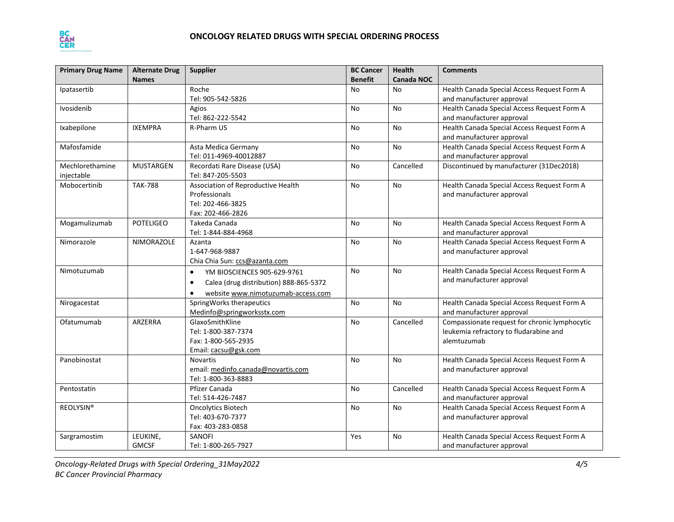

| <b>Primary Drug Name</b> | <b>Alternate Drug</b> | <b>Supplier</b>                                     | <b>BC Cancer</b> | <b>Health</b>     | <b>Comments</b>                               |
|--------------------------|-----------------------|-----------------------------------------------------|------------------|-------------------|-----------------------------------------------|
|                          | <b>Names</b>          |                                                     | <b>Benefit</b>   | <b>Canada NOC</b> |                                               |
| Ipatasertib              |                       | Roche                                               | No               | No                | Health Canada Special Access Request Form A   |
|                          |                       | Tel: 905-542-5826                                   |                  |                   | and manufacturer approval                     |
| <b>Ivosidenib</b>        |                       | Agios                                               | No               | No                | Health Canada Special Access Request Form A   |
|                          |                       | Tel: 862-222-5542                                   |                  |                   | and manufacturer approval                     |
| Ixabepilone              | <b>IXEMPRA</b>        | R-Pharm US                                          | No               | No                | Health Canada Special Access Request Form A   |
|                          |                       |                                                     |                  |                   | and manufacturer approval                     |
| Mafosfamide              |                       | Asta Medica Germany                                 | No               | <b>No</b>         | Health Canada Special Access Request Form A   |
|                          |                       | Tel: 011-4969-40012887                              |                  |                   | and manufacturer approval                     |
| Mechlorethamine          | <b>MUSTARGEN</b>      | Recordati Rare Disease (USA)                        | No               | Cancelled         | Discontinued by manufacturer (31Dec2018)      |
| injectable               |                       | Tel: 847-205-5503                                   |                  |                   |                                               |
| Mobocertinib             | <b>TAK-788</b>        | Association of Reproductive Health                  | No               | No                | Health Canada Special Access Request Form A   |
|                          |                       | Professionals                                       |                  |                   | and manufacturer approval                     |
|                          |                       | Tel: 202-466-3825                                   |                  |                   |                                               |
|                          |                       | Fax: 202-466-2826                                   |                  |                   |                                               |
| Mogamulizumab            | <b>POTELIGEO</b>      | Takeda Canada                                       | No               | No                | Health Canada Special Access Request Form A   |
|                          |                       | Tel: 1-844-884-4968                                 |                  |                   | and manufacturer approval                     |
| Nimorazole               | <b>NIMORAZOLE</b>     | Azanta                                              | No               | No                | Health Canada Special Access Request Form A   |
|                          |                       | 1-647-968-9887                                      |                  |                   | and manufacturer approval                     |
|                          |                       | Chia Chia Sun: ccs@azanta.com                       |                  |                   |                                               |
| Nimotuzumab              |                       | YM BIOSCIENCES 905-629-9761<br>$\bullet$            | No               | No                | Health Canada Special Access Request Form A   |
|                          |                       | Calea (drug distribution) 888-865-5372<br>$\bullet$ |                  |                   | and manufacturer approval                     |
|                          |                       | website www.nimotuzumab-access.com                  |                  |                   |                                               |
| Nirogacestat             |                       | SpringWorks therapeutics                            | No               | No                | Health Canada Special Access Request Form A   |
|                          |                       | Medinfo@springworksstx.com                          |                  |                   | and manufacturer approval                     |
| Ofatumumab               | ARZERRA               | GlaxoSmithKline                                     | <b>No</b>        | Cancelled         | Compassionate request for chronic lymphocytic |
|                          |                       | Tel: 1-800-387-7374                                 |                  |                   | leukemia refractory to fludarabine and        |
|                          |                       | Fax: 1-800-565-2935                                 |                  |                   | alemtuzumab                                   |
|                          |                       | Email: cacsu@gsk.com                                |                  |                   |                                               |
| Panobinostat             |                       | <b>Novartis</b>                                     | <b>No</b>        | No                | Health Canada Special Access Request Form A   |
|                          |                       | email: medinfo.canada@novartis.com                  |                  |                   | and manufacturer approval                     |
|                          |                       | Tel: 1-800-363-8883                                 |                  |                   |                                               |
| Pentostatin              |                       | Pfizer Canada                                       | No               | Cancelled         | Health Canada Special Access Request Form A   |
|                          |                       | Tel: 514-426-7487                                   |                  |                   | and manufacturer approval                     |
| <b>REOLYSIN®</b>         |                       | <b>Oncolytics Biotech</b>                           | No               | No                | Health Canada Special Access Request Form A   |
|                          |                       | Tel: 403-670-7377                                   |                  |                   | and manufacturer approval                     |
|                          |                       | Fax: 403-283-0858                                   |                  |                   |                                               |
| Sargramostim             | LEUKINE,              | SANOFI                                              | Yes              | No                | Health Canada Special Access Request Form A   |
|                          | <b>GMCSF</b>          | Tel: 1-800-265-7927                                 |                  |                   | and manufacturer approval                     |